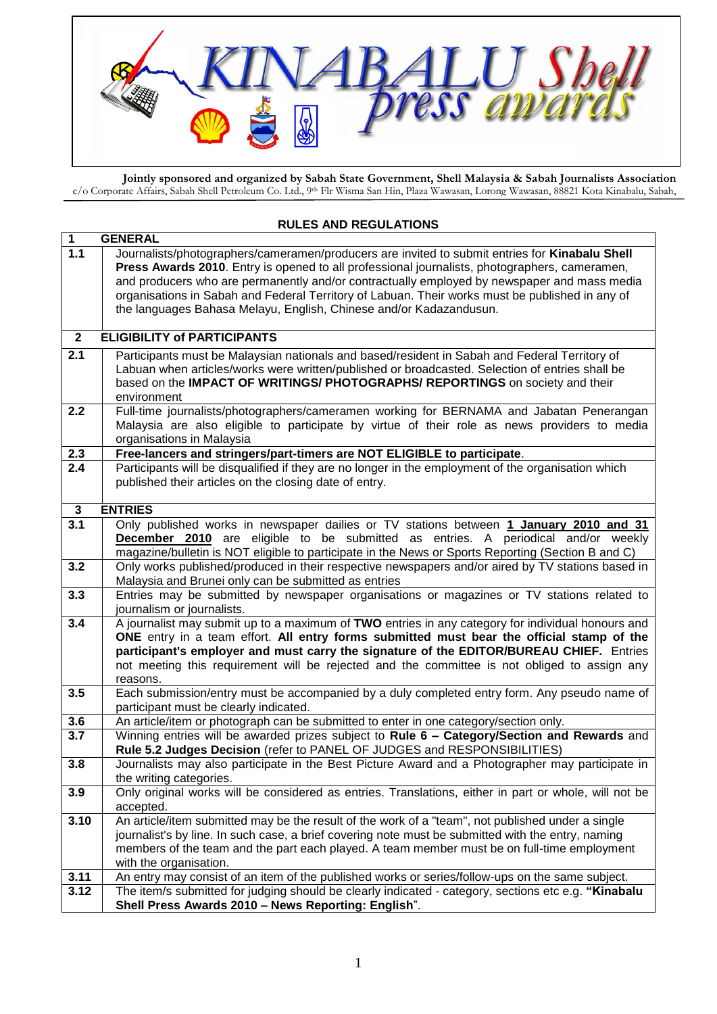

**Jointly sponsored and organized by Sabah State Government, Shell Malaysia & Sabah Journalists Association** c/o Corporate Affairs, Sabah Shell Petroleum Co. Ltd., 9th Flr Wisma San Hin, Plaza Wawasan, Lorong Wawasan, 88821 Kota Kinabalu, Sabah,

Malaysia

## **RULES AND REGULATIONS**

| $\overline{1}$<br><b>GENERAL</b> |                                                                                                                                                                                                  |  |
|----------------------------------|--------------------------------------------------------------------------------------------------------------------------------------------------------------------------------------------------|--|
| $\overline{1.1}$                 | Journalists/photographers/cameramen/producers are invited to submit entries for Kinabalu Shell<br>Press Awards 2010. Entry is opened to all professional journalists, photographers, cameramen,  |  |
|                                  | and producers who are permanently and/or contractually employed by newspaper and mass media                                                                                                      |  |
|                                  | organisations in Sabah and Federal Territory of Labuan. Their works must be published in any of                                                                                                  |  |
|                                  | the languages Bahasa Melayu, English, Chinese and/or Kadazandusun.                                                                                                                               |  |
|                                  |                                                                                                                                                                                                  |  |
| $\mathbf{2}$                     | <b>ELIGIBILITY of PARTICIPANTS</b>                                                                                                                                                               |  |
| 2.1                              | Participants must be Malaysian nationals and based/resident in Sabah and Federal Territory of<br>Labuan when articles/works were written/published or broadcasted. Selection of entries shall be |  |
|                                  | based on the IMPACT OF WRITINGS/ PHOTOGRAPHS/ REPORTINGS on society and their                                                                                                                    |  |
|                                  | environment                                                                                                                                                                                      |  |
| 2.2                              | Full-time journalists/photographers/cameramen working for BERNAMA and Jabatan Penerangan                                                                                                         |  |
|                                  | Malaysia are also eligible to participate by virtue of their role as news providers to media                                                                                                     |  |
|                                  | organisations in Malaysia                                                                                                                                                                        |  |
| 2.3<br>$\overline{2.4}$          | Free-lancers and stringers/part-timers are NOT ELIGIBLE to participate.<br>Participants will be disqualified if they are no longer in the employment of the organisation which                   |  |
|                                  | published their articles on the closing date of entry.                                                                                                                                           |  |
|                                  |                                                                                                                                                                                                  |  |
| 3                                | <b>ENTRIES</b>                                                                                                                                                                                   |  |
| 3.1                              | Only published works in newspaper dailies or TV stations between 1 January 2010 and 31                                                                                                           |  |
|                                  | <b>December 2010</b> are eligible to be submitted as entries. A periodical and/or weekly<br>magazine/bulletin is NOT eligible to participate in the News or Sports Reporting (Section B and C)   |  |
| 3.2                              | Only works published/produced in their respective newspapers and/or aired by TV stations based in                                                                                                |  |
|                                  | Malaysia and Brunei only can be submitted as entries                                                                                                                                             |  |
| 3.3                              | Entries may be submitted by newspaper organisations or magazines or TV stations related to                                                                                                       |  |
|                                  | journalism or journalists.                                                                                                                                                                       |  |
| 3.4                              | A journalist may submit up to a maximum of TWO entries in any category for individual honours and<br>ONE entry in a team effort. All entry forms submitted must bear the official stamp of the   |  |
|                                  | participant's employer and must carry the signature of the EDITOR/BUREAU CHIEF. Entries                                                                                                          |  |
|                                  | not meeting this requirement will be rejected and the committee is not obliged to assign any                                                                                                     |  |
|                                  | reasons.                                                                                                                                                                                         |  |
| 3.5                              | Each submission/entry must be accompanied by a duly completed entry form. Any pseudo name of                                                                                                     |  |
| 3.6                              | participant must be clearly indicated.<br>An article/item or photograph can be submitted to enter in one category/section only.                                                                  |  |
| 3.7                              | Winning entries will be awarded prizes subject to Rule 6 - Category/Section and Rewards and                                                                                                      |  |
|                                  | Rule 5.2 Judges Decision (refer to PANEL OF JUDGES and RESPONSIBILITIES)                                                                                                                         |  |
| 3.8                              | Journalists may also participate in the Best Picture Award and a Photographer may participate in                                                                                                 |  |
|                                  | the writing categories.                                                                                                                                                                          |  |
| 3.9                              | Only original works will be considered as entries. Translations, either in part or whole, will not be                                                                                            |  |
| 3.10                             | accepted.<br>An article/item submitted may be the result of the work of a "team", not published under a single                                                                                   |  |
|                                  | journalist's by line. In such case, a brief covering note must be submitted with the entry, naming                                                                                               |  |
|                                  | members of the team and the part each played. A team member must be on full-time employment                                                                                                      |  |
|                                  | with the organisation.                                                                                                                                                                           |  |
| 3.11                             | An entry may consist of an item of the published works or series/follow-ups on the same subject.                                                                                                 |  |
| 3.12                             | The item/s submitted for judging should be clearly indicated - category, sections etc e.g. "Kinabalu                                                                                             |  |
|                                  | Shell Press Awards 2010 - News Reporting: English".                                                                                                                                              |  |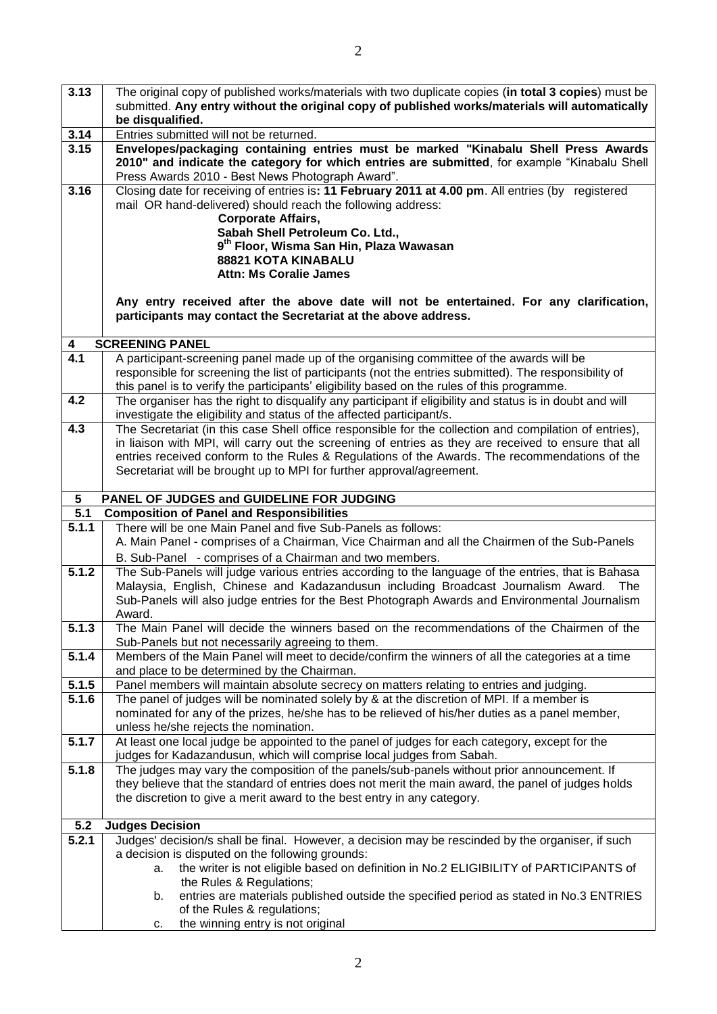| 3.13                  | The original copy of published works/materials with two duplicate copies (in total 3 copies) must be                                                                                                  |
|-----------------------|-------------------------------------------------------------------------------------------------------------------------------------------------------------------------------------------------------|
|                       | submitted. Any entry without the original copy of published works/materials will automatically<br>be disqualified.                                                                                    |
| 3.14                  | Entries submitted will not be returned.                                                                                                                                                               |
| 3.15                  | Envelopes/packaging containing entries must be marked "Kinabalu Shell Press Awards                                                                                                                    |
|                       | 2010" and indicate the category for which entries are submitted, for example "Kinabalu Shell<br>Press Awards 2010 - Best News Photograph Award".                                                      |
| 3.16                  | Closing date for receiving of entries is: 11 February 2011 at 4.00 pm. All entries (by registered                                                                                                     |
|                       | mail OR hand-delivered) should reach the following address:                                                                                                                                           |
|                       | <b>Corporate Affairs,</b><br>Sabah Shell Petroleum Co. Ltd.,                                                                                                                                          |
|                       | 9 <sup>th</sup> Floor, Wisma San Hin, Plaza Wawasan                                                                                                                                                   |
|                       | 88821 KOTA KINABALU                                                                                                                                                                                   |
|                       | <b>Attn: Ms Coralie James</b>                                                                                                                                                                         |
|                       | Any entry received after the above date will not be entertained. For any clarification,<br>participants may contact the Secretariat at the above address.                                             |
|                       |                                                                                                                                                                                                       |
| 4<br>$\overline{4.1}$ | <b>SCREENING PANEL</b><br>A participant-screening panel made up of the organising committee of the awards will be                                                                                     |
|                       | responsible for screening the list of participants (not the entries submitted). The responsibility of                                                                                                 |
|                       | this panel is to verify the participants' eligibility based on the rules of this programme.                                                                                                           |
| 4.2                   | The organiser has the right to disqualify any participant if eligibility and status is in doubt and will                                                                                              |
|                       | investigate the eligibility and status of the affected participant/s.                                                                                                                                 |
| 4.3                   | The Secretariat (in this case Shell office responsible for the collection and compilation of entries),                                                                                                |
|                       | in liaison with MPI, will carry out the screening of entries as they are received to ensure that all<br>entries received conform to the Rules & Regulations of the Awards. The recommendations of the |
|                       | Secretariat will be brought up to MPI for further approval/agreement.                                                                                                                                 |
|                       |                                                                                                                                                                                                       |
| 5                     | PANEL OF JUDGES and GUIDELINE FOR JUDGING                                                                                                                                                             |
| 5.1                   | <b>Composition of Panel and Responsibilities</b>                                                                                                                                                      |
| 5.1.1                 | There will be one Main Panel and five Sub-Panels as follows:<br>A. Main Panel - comprises of a Chairman, Vice Chairman and all the Chairmen of the Sub-Panels                                         |
|                       | B. Sub-Panel - comprises of a Chairman and two members.                                                                                                                                               |
| 5.1.2                 | The Sub-Panels will judge various entries according to the language of the entries, that is Bahasa                                                                                                    |
|                       | Malaysia, English, Chinese and Kadazandusun including Broadcast Journalism Award.<br>The                                                                                                              |
|                       | Sub-Panels will also judge entries for the Best Photograph Awards and Environmental Journalism                                                                                                        |
| 5.1.3                 | Award.<br>The Main Panel will decide the winners based on the recommendations of the Chairmen of the                                                                                                  |
|                       | Sub-Panels but not necessarily agreeing to them.                                                                                                                                                      |
| 5.1.4                 | Members of the Main Panel will meet to decide/confirm the winners of all the categories at a time                                                                                                     |
|                       | and place to be determined by the Chairman.                                                                                                                                                           |
| 5.1.5                 | Panel members will maintain absolute secrecy on matters relating to entries and judging.                                                                                                              |
| 5.1.6                 | The panel of judges will be nominated solely by & at the discretion of MPI. If a member is                                                                                                            |
|                       | nominated for any of the prizes, he/she has to be relieved of his/her duties as a panel member,<br>unless he/she rejects the nomination.                                                              |
| 5.1.7                 | At least one local judge be appointed to the panel of judges for each category, except for the                                                                                                        |
|                       | judges for Kadazandusun, which will comprise local judges from Sabah.                                                                                                                                 |
| 5.1.8                 | The judges may vary the composition of the panels/sub-panels without prior announcement. If                                                                                                           |
|                       | they believe that the standard of entries does not merit the main award, the panel of judges holds                                                                                                    |
|                       | the discretion to give a merit award to the best entry in any category.                                                                                                                               |
| 5.2                   | <b>Judges Decision</b>                                                                                                                                                                                |
| 5.2.1                 | Judges' decision/s shall be final. However, a decision may be rescinded by the organiser, if such                                                                                                     |
|                       | a decision is disputed on the following grounds:                                                                                                                                                      |
|                       | the writer is not eligible based on definition in No.2 ELIGIBILITY of PARTICIPANTS of<br>а.                                                                                                           |
|                       | the Rules & Regulations;                                                                                                                                                                              |
|                       | entries are materials published outside the specified period as stated in No.3 ENTRIES<br>b.<br>of the Rules & regulations;                                                                           |
|                       |                                                                                                                                                                                                       |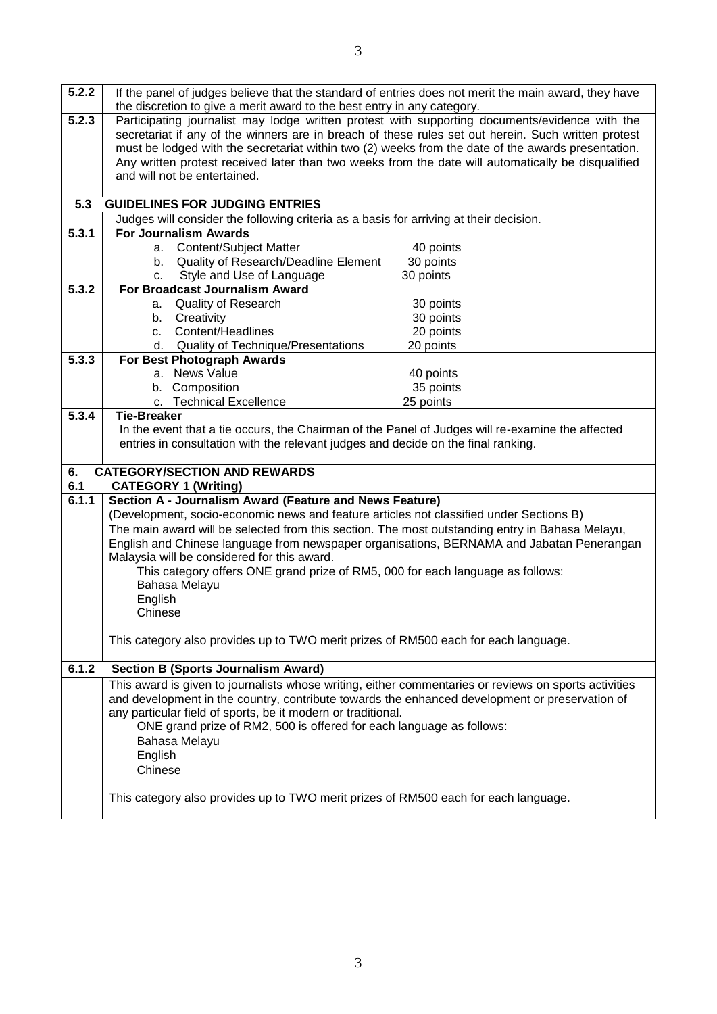| 5.2.2 |                                                                                                       | If the panel of judges believe that the standard of entries does not merit the main award, they have |
|-------|-------------------------------------------------------------------------------------------------------|------------------------------------------------------------------------------------------------------|
|       | the discretion to give a merit award to the best entry in any category.                               |                                                                                                      |
| 5.2.3 |                                                                                                       | Participating journalist may lodge written protest with supporting documents/evidence with the       |
|       |                                                                                                       | secretariat if any of the winners are in breach of these rules set out herein. Such written protest  |
|       |                                                                                                       | must be lodged with the secretariat within two (2) weeks from the date of the awards presentation.   |
|       | and will not be entertained.                                                                          | Any written protest received later than two weeks from the date will automatically be disqualified   |
|       |                                                                                                       |                                                                                                      |
|       | 5.3 GUIDELINES FOR JUDGING ENTRIES                                                                    |                                                                                                      |
|       | Judges will consider the following criteria as a basis for arriving at their decision.                |                                                                                                      |
| 5.3.1 | <b>For Journalism Awards</b>                                                                          |                                                                                                      |
|       | a. Content/Subject Matter                                                                             | 40 points                                                                                            |
|       | b. Quality of Research/Deadline Element                                                               | 30 points                                                                                            |
|       | c. Style and Use of Language                                                                          | 30 points                                                                                            |
| 5.3.2 | For Broadcast Journalism Award                                                                        |                                                                                                      |
|       | a. Quality of Research                                                                                | 30 points                                                                                            |
|       | b. Creativity                                                                                         | 30 points                                                                                            |
|       | Content/Headlines<br>c.                                                                               | 20 points                                                                                            |
|       | Quality of Technique/Presentations<br>d.                                                              | 20 points                                                                                            |
| 5.3.3 | For Best Photograph Awards                                                                            |                                                                                                      |
|       | a. News Value                                                                                         | 40 points                                                                                            |
|       | b. Composition                                                                                        | 35 points                                                                                            |
|       | c. Technical Excellence                                                                               | 25 points                                                                                            |
| 5.3.4 | <b>Tie-Breaker</b>                                                                                    |                                                                                                      |
|       |                                                                                                       |                                                                                                      |
|       | In the event that a tie occurs, the Chairman of the Panel of Judges will re-examine the affected      |                                                                                                      |
|       | entries in consultation with the relevant judges and decide on the final ranking.                     |                                                                                                      |
|       |                                                                                                       |                                                                                                      |
| 6.    | <b>CATEGORY/SECTION AND REWARDS</b>                                                                   |                                                                                                      |
| 6.1   | <b>CATEGORY 1 (Writing)</b>                                                                           |                                                                                                      |
| 6.1.1 | Section A - Journalism Award (Feature and News Feature)                                               |                                                                                                      |
|       | (Development, socio-economic news and feature articles not classified under Sections B)               |                                                                                                      |
|       | The main award will be selected from this section. The most outstanding entry in Bahasa Melayu,       |                                                                                                      |
|       | English and Chinese language from newspaper organisations, BERNAMA and Jabatan Penerangan             |                                                                                                      |
|       | Malaysia will be considered for this award.                                                           |                                                                                                      |
|       | This category offers ONE grand prize of RM5, 000 for each language as follows:                        |                                                                                                      |
|       | Bahasa Melayu                                                                                         |                                                                                                      |
|       | English                                                                                               |                                                                                                      |
|       | Chinese                                                                                               |                                                                                                      |
|       |                                                                                                       |                                                                                                      |
|       | This category also provides up to TWO merit prizes of RM500 each for each language.                   |                                                                                                      |
|       |                                                                                                       |                                                                                                      |
| 6.1.2 | <b>Section B (Sports Journalism Award)</b>                                                            |                                                                                                      |
|       | This award is given to journalists whose writing, either commentaries or reviews on sports activities |                                                                                                      |
|       | and development in the country, contribute towards the enhanced development or preservation of        |                                                                                                      |
|       | any particular field of sports, be it modern or traditional.                                          |                                                                                                      |
|       | ONE grand prize of RM2, 500 is offered for each language as follows:                                  |                                                                                                      |
|       | Bahasa Melayu                                                                                         |                                                                                                      |
|       | English                                                                                               |                                                                                                      |
|       | Chinese                                                                                               |                                                                                                      |
|       |                                                                                                       |                                                                                                      |
|       | This category also provides up to TWO merit prizes of RM500 each for each language.                   |                                                                                                      |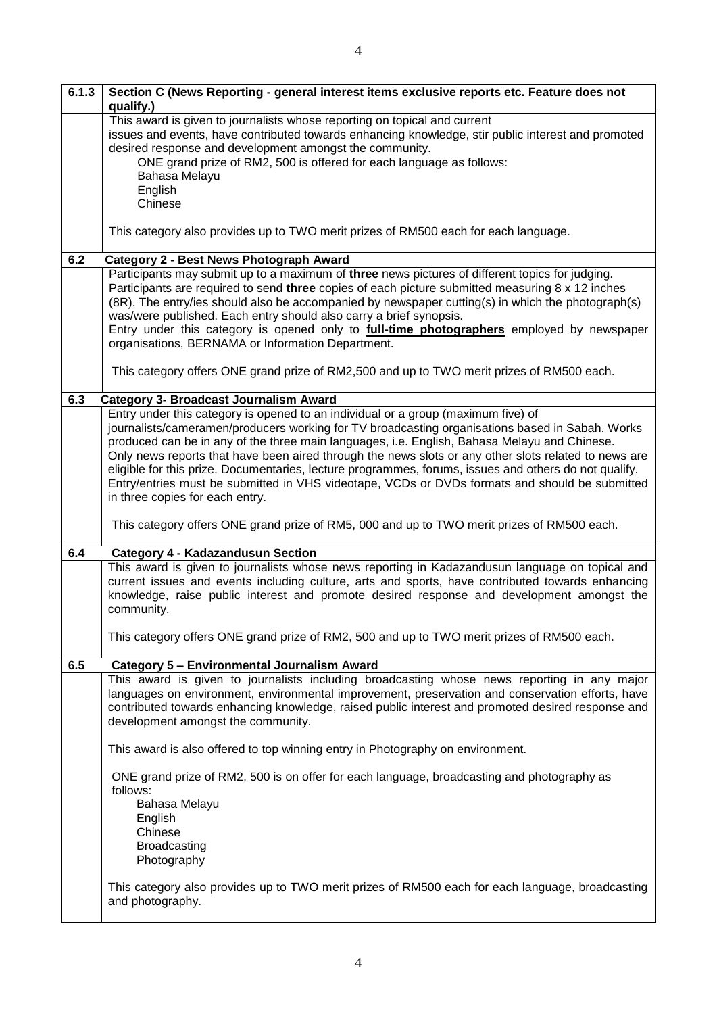| 6.1.3 | Section C (News Reporting - general interest items exclusive reports etc. Feature does not<br>qualify.)                                                                                                                                                                                                                                                                                                                                                                                                                                                                                                                                    |
|-------|--------------------------------------------------------------------------------------------------------------------------------------------------------------------------------------------------------------------------------------------------------------------------------------------------------------------------------------------------------------------------------------------------------------------------------------------------------------------------------------------------------------------------------------------------------------------------------------------------------------------------------------------|
|       | This award is given to journalists whose reporting on topical and current<br>issues and events, have contributed towards enhancing knowledge, stir public interest and promoted<br>desired response and development amongst the community.<br>ONE grand prize of RM2, 500 is offered for each language as follows:<br>Bahasa Melayu<br>English<br>Chinese                                                                                                                                                                                                                                                                                  |
|       | This category also provides up to TWO merit prizes of RM500 each for each language.                                                                                                                                                                                                                                                                                                                                                                                                                                                                                                                                                        |
| 6.2   | Category 2 - Best News Photograph Award                                                                                                                                                                                                                                                                                                                                                                                                                                                                                                                                                                                                    |
|       | Participants may submit up to a maximum of three news pictures of different topics for judging.<br>Participants are required to send three copies of each picture submitted measuring 8 x 12 inches<br>(8R). The entry/ies should also be accompanied by newspaper cutting(s) in which the photograph(s)<br>was/were published. Each entry should also carry a brief synopsis.<br>Entry under this category is opened only to <b>full-time photographers</b> employed by newspaper<br>organisations, BERNAMA or Information Department.                                                                                                    |
|       | This category offers ONE grand prize of RM2,500 and up to TWO merit prizes of RM500 each.                                                                                                                                                                                                                                                                                                                                                                                                                                                                                                                                                  |
| 6.3   | <b>Category 3- Broadcast Journalism Award</b>                                                                                                                                                                                                                                                                                                                                                                                                                                                                                                                                                                                              |
|       | Entry under this category is opened to an individual or a group (maximum five) of<br>journalists/cameramen/producers working for TV broadcasting organisations based in Sabah. Works<br>produced can be in any of the three main languages, i.e. English, Bahasa Melayu and Chinese.<br>Only news reports that have been aired through the news slots or any other slots related to news are<br>eligible for this prize. Documentaries, lecture programmes, forums, issues and others do not qualify.<br>Entry/entries must be submitted in VHS videotape, VCDs or DVDs formats and should be submitted<br>in three copies for each entry. |
|       | This category offers ONE grand prize of RM5, 000 and up to TWO merit prizes of RM500 each.                                                                                                                                                                                                                                                                                                                                                                                                                                                                                                                                                 |
| 6.4   | <b>Category 4 - Kadazandusun Section</b>                                                                                                                                                                                                                                                                                                                                                                                                                                                                                                                                                                                                   |
|       | This award is given to journalists whose news reporting in Kadazandusun language on topical and<br>current issues and events including culture, arts and sports, have contributed towards enhancing<br>knowledge, raise public interest and promote desired response and development amongst the<br>community.                                                                                                                                                                                                                                                                                                                             |
|       | This category offers ONE grand prize of RM2, 500 and up to TWO merit prizes of RM500 each.                                                                                                                                                                                                                                                                                                                                                                                                                                                                                                                                                 |
| 6.5   | Category 5 - Environmental Journalism Award                                                                                                                                                                                                                                                                                                                                                                                                                                                                                                                                                                                                |
|       | This award is given to journalists including broadcasting whose news reporting in any major<br>languages on environment, environmental improvement, preservation and conservation efforts, have<br>contributed towards enhancing knowledge, raised public interest and promoted desired response and<br>development amongst the community.                                                                                                                                                                                                                                                                                                 |
|       | This award is also offered to top winning entry in Photography on environment.                                                                                                                                                                                                                                                                                                                                                                                                                                                                                                                                                             |
|       | ONE grand prize of RM2, 500 is on offer for each language, broadcasting and photography as<br>follows:<br>Bahasa Melayu<br>English<br>Chinese<br><b>Broadcasting</b><br>Photography                                                                                                                                                                                                                                                                                                                                                                                                                                                        |
|       | This category also provides up to TWO merit prizes of RM500 each for each language, broadcasting<br>and photography.                                                                                                                                                                                                                                                                                                                                                                                                                                                                                                                       |